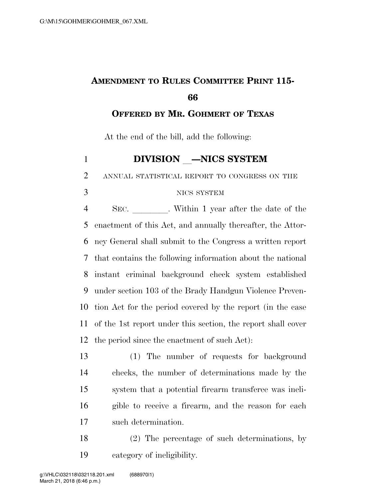## **AMENDMENT TO RULES COMMITTEE PRINT 115-**

**OFFERED BY MR. GOHMERT OF TEXAS**

At the end of the bill, add the following:

## **DIVISION** —NICS SYSTEM

ANNUAL STATISTICAL REPORT TO CONGRESS ON THE

## NICS SYSTEM

4 SEC. Within 1 year after the date of the enactment of this Act, and annually thereafter, the Attor- ney General shall submit to the Congress a written report that contains the following information about the national instant criminal background check system established under section 103 of the Brady Handgun Violence Preven- tion Act for the period covered by the report (in the case of the 1st report under this section, the report shall cover the period since the enactment of such Act):

 (1) The number of requests for background checks, the number of determinations made by the system that a potential firearm transferee was ineli- gible to receive a firearm, and the reason for each such determination.

 (2) The percentage of such determinations, by category of ineligibility.